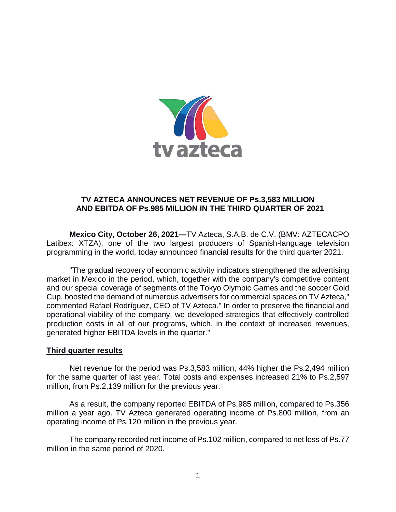

# **TV AZTECA ANNOUNCES NET REVENUE OF Ps.3,583 MILLION AND EBITDA OF Ps.985 MILLION IN THE THIRD QUARTER OF 2021**

**Mexico City, October 26, 2021—**TV Azteca, S.A.B. de C.V. (BMV: AZTECACPO Latibex: XTZA), one of the two largest producers of Spanish-language television programming in the world, today announced financial results for the third quarter 2021.

"The gradual recovery of economic activity indicators strengthened the advertising market in Mexico in the period, which, together with the company's competitive content and our special coverage of segments of the Tokyo Olympic Games and the soccer Gold Cup, boosted the demand of numerous advertisers for commercial spaces on TV Azteca," commented Rafael Rodríguez, CEO of TV Azteca." In order to preserve the financial and operational viability of the company, we developed strategies that effectively controlled production costs in all of our programs, which, in the context of increased revenues, generated higher EBITDA levels in the quarter."

## **Third quarter results**

Net revenue for the period was Ps.3,583 million, 44% higher the Ps.2,494 million for the same quarter of last year. Total costs and expenses increased 21% to Ps.2,597 million, from Ps.2,139 million for the previous year.

As a result, the company reported EBITDA of Ps.985 million, compared to Ps.356 million a year ago. TV Azteca generated operating income of Ps.800 million, from an operating income of Ps.120 million in the previous year.

The company recorded net income of Ps.102 million, compared to net loss of Ps.77 million in the same period of 2020.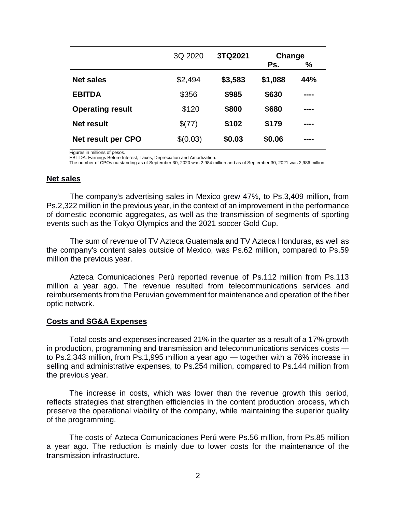|                           | 3Q 2020  | 3TQ2021 | Change  |      |
|---------------------------|----------|---------|---------|------|
|                           |          |         | Ps.     | %    |
| <b>Net sales</b>          | \$2,494  | \$3,583 | \$1,088 | 44%  |
| <b>EBITDA</b>             | \$356    | \$985   | \$630   | ---- |
| <b>Operating result</b>   | \$120    | \$800   | \$680   | ---- |
| Net result                | \$(77)   | \$102   | \$179   | ---- |
| <b>Net result per CPO</b> | \$(0.03) | \$0.03  | \$0.06  | ---- |

Figures in millions of pesos.

EBITDA: Earnings Before Interest, Taxes, Depreciation and Amortization.

The number of CPOs outstanding as of September 30, 2020 was 2,984 million and as of September 30, 2021 was 2,986 million.

#### **Net sales**

The company's advertising sales in Mexico grew 47%, to Ps.3,409 million, from Ps.2,322 million in the previous year, in the context of an improvement in the performance of domestic economic aggregates, as well as the transmission of segments of sporting events such as the Tokyo Olympics and the 2021 soccer Gold Cup.

The sum of revenue of TV Azteca Guatemala and TV Azteca Honduras, as well as the company's content sales outside of Mexico, was Ps.62 million, compared to Ps.59 million the previous year.

Azteca Comunicaciones Perú reported revenue of Ps.112 million from Ps.113 million a year ago. The revenue resulted from telecommunications services and reimbursements from the Peruvian government for maintenance and operation of the fiber optic network.

### **Costs and SG&A Expenses**

Total costs and expenses increased 21% in the quarter as a result of a 17% growth in production, programming and transmission and telecommunications services costs to Ps.2,343 million, from Ps.1,995 million a year ago — together with a 76% increase in selling and administrative expenses, to Ps.254 million, compared to Ps.144 million from the previous year.

The increase in costs, which was lower than the revenue growth this period, reflects strategies that strengthen efficiencies in the content production process, which preserve the operational viability of the company, while maintaining the superior quality of the programming.

The costs of Azteca Comunicaciones Perú were Ps.56 million, from Ps.85 million a year ago. The reduction is mainly due to lower costs for the maintenance of the transmission infrastructure.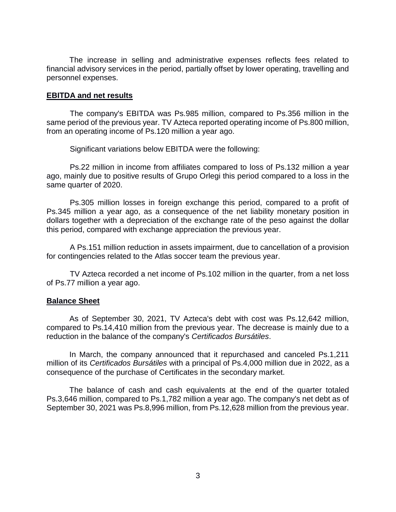The increase in selling and administrative expenses reflects fees related to financial advisory services in the period, partially offset by lower operating, travelling and personnel expenses.

## **EBITDA and net results**

The company's EBITDA was Ps.985 million, compared to Ps.356 million in the same period of the previous year. TV Azteca reported operating income of Ps.800 million, from an operating income of Ps.120 million a year ago.

Significant variations below EBITDA were the following:

Ps.22 million in income from affiliates compared to loss of Ps.132 million a year ago, mainly due to positive results of Grupo Orlegi this period compared to a loss in the same quarter of 2020.

Ps.305 million losses in foreign exchange this period, compared to a profit of Ps.345 million a year ago, as a consequence of the net liability monetary position in dollars together with a depreciation of the exchange rate of the peso against the dollar this period, compared with exchange appreciation the previous year.

A Ps.151 million reduction in assets impairment, due to cancellation of a provision for contingencies related to the Atlas soccer team the previous year.

TV Azteca recorded a net income of Ps.102 million in the quarter, from a net loss of Ps.77 million a year ago.

## **Balance Sheet**

As of September 30, 2021, TV Azteca's debt with cost was Ps.12,642 million, compared to Ps.14,410 million from the previous year. The decrease is mainly due to a reduction in the balance of the company's *Certificados Bursátiles*.

In March, the company announced that it repurchased and canceled Ps.1,211 million of its *Certificados Bursátiles* with a principal of Ps.4,000 million due in 2022, as a consequence of the purchase of Certificates in the secondary market.

The balance of cash and cash equivalents at the end of the quarter totaled Ps.3,646 million, compared to Ps.1,782 million a year ago. The company's net debt as of September 30, 2021 was Ps.8,996 million, from Ps.12,628 million from the previous year.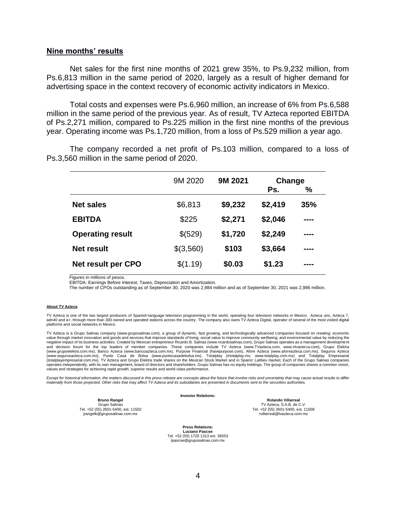#### **Nine months' results**

Net sales for the first nine months of 2021 grew 35%, to Ps.9,232 million, from Ps.6,813 million in the same period of 2020, largely as a result of higher demand for advertising space in the context recovery of economic activity indicators in Mexico.

Total costs and expenses were Ps.6,960 million, an increase of 6% from Ps.6,588 million in the same period of the previous year. As of result, TV Azteca reported EBITDA of Ps.2,271 million, compared to Ps.225 million in the first nine months of the previous year. Operating income was Ps.1,720 million, from a loss of Ps.529 million a year ago.

The company recorded a net profit of Ps.103 million, compared to a loss of Ps.3,560 million in the same period of 2020.

|                         | 9M 2020   | 9M 2021 | Change  |      |
|-------------------------|-----------|---------|---------|------|
|                         |           |         | Ps.     | %    |
| <b>Net sales</b>        | \$6,813   | \$9,232 | \$2,419 | 35%  |
| <b>EBITDA</b>           | \$225     | \$2,271 | \$2,046 | ---- |
| <b>Operating result</b> | \$(529)   | \$1,720 | \$2,249 | ---- |
| <b>Net result</b>       | \$(3,560) | \$103   | \$3,664 | ---- |
| Net result per CPO      | \$(1.19)  | \$0.03  | \$1.23  | ---- |

Figures in millions of pesos.

EBITDA: Earnings Before Interest, Taxes, Depreciation and Amortization.

The number of CPOs outstanding as of September 30, 2020 was 2,984 million and as of September 30, 2021 was 2,986 million.

#### **About TV Azteca**

TV Azteca is one of the two largest producers of Spanish-language television programming in the world, operating four television networks in Mexico: Azteca uno, Azteca 7,<br>adn40 and a+, through more than 300 owned and opera platforms and social networks in Mexico.

TV Azteca is a Grupo Salinas company (www.gruposalinas.com), a group of dynamic, fast growing, and technologically advanced companies focused on creating: economic value through market innovation and goods and services that improve standards of living; social value to improve community wellbeing; and environmental value by reducing the negative impact of its business activities. Created by Mexican entrepreneur Ricardo B. Salinas (www.ricardosalinas.com), Grupo Salinas operates as a management development<br>and decision forum for the top leaders of member c (www.grupoelektra.com.mx), Banco Azteca (www.bancoazteca.com.mx), Purpose Financial (havepurpose.com), Afore Azteca (www.aforeazteca.com.mx), Seguros Azteca (www.segurosazteca.com.mx), Punto Casa de Bolsa (www.puntocasadebolsa.mx), Totalplay (irtotalplay.mx; www.totalplay.com.mx) and Totalplay Empresarial<br>(totalplayempresarial.com.mx). TV Azteca and Grupo Elektra trade shares  operates independently, with its own management, board of directors and shareholders. Grupo Salinas has no equity holdings. The group of companies shares a common vision, values and strategies for achieving rapid growth, superior results and world-class performance.

Except for historical information, the matters discussed in this press release are concepts about the future that involve risks and uncertainty that may cause actual results to differ<br>materially from those projected. Other

**Investor Relations:**

**Bruno Rangel** Grupo Salinas Tel. +52 (55) 2601-5400, ext. 11502 jrangelk@gruposalinas.com.mx

**Rolando Villarreal** TV Azteca, S.A.B. de C.V. Tel. +52 (55) 2601-5400, ext. 11508 [rvillarreal@tvazteca.com.mx](mailto:rvillarreal@tvazteca.com.mx)

**Press Relations: Luciano Pascoe** Tel. +52 (55) 1720 1313 ext. 36553 [lpascoe@gruposalinas.com.mx](mailto:lpascoe@gruposalinas.com.mx)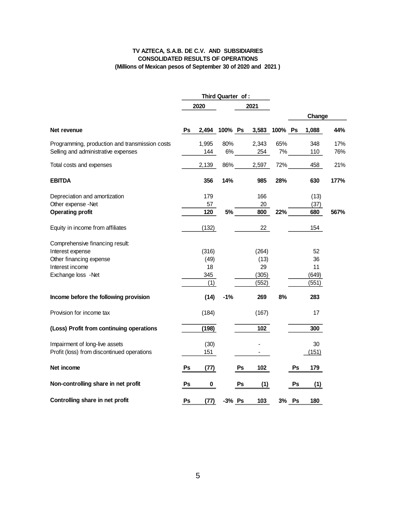## **TV AZTECA, S.A.B. DE C.V. AND SUBSIDIARIES CONSOLIDATED RESULTS OF OPERATIONS (Millions of Mexican pesos of September 30 of 2020 and 2021 )**

|                                                |    |           | Third Quarter of : |    |               |     |    |        |      |
|------------------------------------------------|----|-----------|--------------------|----|---------------|-----|----|--------|------|
|                                                |    | 2020      |                    |    | 2021          |     |    |        |      |
|                                                |    |           |                    |    |               |     |    | Change |      |
| Net revenue                                    | Ps |           | 2,494 100% Ps      |    | 3,583 100% Ps |     |    | 1,088  | 44%  |
| Programming, production and transmission costs |    | 1,995     | 80%                |    | 2,343         | 65% |    | 348    | 17%  |
| Selling and administrative expenses            |    | 144       | 6%                 |    | 254           | 7%  |    | 110    | 76%  |
| Total costs and expenses                       |    | 2,139     | 86%                |    | 2,597         | 72% |    | 458    | 21%  |
| <b>EBITDA</b>                                  |    | 356       | 14%                |    | 985           | 28% |    | 630    | 177% |
| Depreciation and amortization                  |    | 179       |                    |    | 166           |     |    | (13)   |      |
| Other expense -Net                             |    | 57        |                    |    | 20            |     |    | (37)   |      |
| <b>Operating profit</b>                        |    | 120       | 5%                 |    | 800           | 22% |    | 680    | 567% |
| Equity in income from affiliates               |    | (132)     |                    |    | 22            |     |    | 154    |      |
| Comprehensive financing result:                |    |           |                    |    |               |     |    |        |      |
| Interest expense                               |    | (316)     |                    |    | (264)         |     |    | 52     |      |
| Other financing expense                        |    | (49)      |                    |    | (13)          |     |    | 36     |      |
| Interest income                                |    | 18        |                    |    | 29            |     |    | 11     |      |
| Exchange loss -Net                             |    | 345       |                    |    | (305)         |     |    | (649)  |      |
|                                                |    | (1)       |                    |    | (552)         |     |    | (551)  |      |
| Income before the following provision          |    | (14)      | $-1%$              |    | 269           | 8%  |    | 283    |      |
| Provision for income tax                       |    | (184)     |                    |    | (167)         |     |    | 17     |      |
| (Loss) Profit from continuing operations       |    | (198)     |                    |    | 102           |     |    | 300    |      |
| Impairment of long-live assets                 |    | (30)      |                    |    |               |     |    | 30     |      |
| Profit (loss) from discontinued operations     |    | 151       |                    |    |               |     |    | (151)  |      |
| Net income                                     | Ps | (77)      |                    | Ps | 102           |     | Ps | 179    |      |
| Non-controlling share in net profit            | Ps | $\pmb{0}$ |                    | Ps | (1)           |     | Ps | (1)    |      |
| Controlling share in net profit                | Ps | (77)      | -3% Ps             |    | 103           | 3%  | Ps | 180    |      |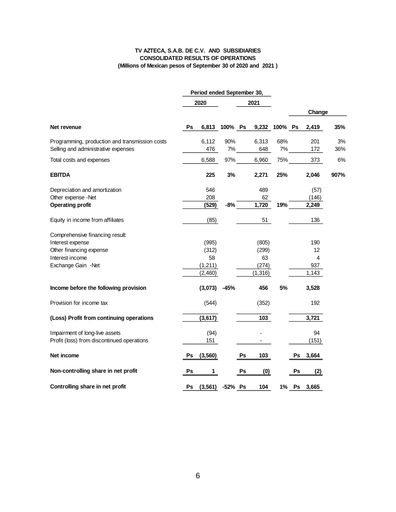#### **TV AZTECA, S.A.B. DE C.V. AND SUBSIDIARIES CONSOLIDATED RESULTS OF OPERATIONS (Millions of Mexican pesos of September 30 of 2020 and 2021 )**

|                                                |    | Period ended September 30, |               |    |               |     |       |        |      |
|------------------------------------------------|----|----------------------------|---------------|----|---------------|-----|-------|--------|------|
|                                                |    | 2020                       |               |    | 2021          |     |       |        |      |
|                                                |    |                            |               |    |               |     |       | Change |      |
| Net revenue                                    | Ps |                            | 6,813 100% Ps |    | 9,232 100% Ps |     |       | 2,419  | 35%  |
| Programming, production and transmission costs |    | 6,112                      | 90%           |    | 6,313         | 68% |       | 201    | 3%   |
| Selling and administrative expenses            |    | 476                        | 7%            |    | 648           | 7%  |       | 172    | 36%  |
| Total costs and expenses                       |    | 6,588                      | 97%           |    | 6,960         | 75% |       | 373    | 6%   |
| <b>EBITDA</b>                                  |    | 225                        | 3%            |    | 2,271         | 25% |       | 2,046  | 907% |
| Depreciation and amortization                  |    | 546                        |               |    | 489           |     |       | (57)   |      |
| Other expense -Net                             |    | 208                        |               |    | 62            |     |       | (146)  |      |
| <b>Operating profit</b>                        |    | (529)                      | $-8%$         |    | 1,720         | 19% |       | 2,249  |      |
| Equity in income from affiliates               |    | (85)                       |               |    | 51            |     |       | 136    |      |
| Comprehensive financing result:                |    |                            |               |    |               |     |       |        |      |
| Interest expense                               |    | (995)                      |               |    | (805)         |     |       | 190    |      |
| Other financing expense                        |    | (312)                      |               |    | (299)         |     |       | 12     |      |
| Interest income                                |    | 58                         |               |    | 63            |     |       | 4      |      |
| Exchange Gain -Net                             |    | (1, 211)                   |               |    | (274)         |     |       | 937    |      |
|                                                |    | (2,460)                    |               |    | (1, 316)      |     |       | 1,143  |      |
| Income before the following provision          |    | (3,073)                    | $-45%$        |    | 456           | 5%  |       | 3,528  |      |
| Provision for income tax                       |    | (544)                      |               |    | (352)         |     |       | 192    |      |
| (Loss) Profit from continuing operations       |    | (3, 617)                   |               |    | 103           |     |       | 3,721  |      |
| Impairment of long-live assets                 |    | (94)                       |               |    |               |     |       | 94     |      |
| Profit (loss) from discontinued operations     |    | 151                        |               |    |               |     |       | (151)  |      |
| Net income                                     | Ps | (3,560)                    |               | Ps | 103           |     | Ps    | 3,664  |      |
| Non-controlling share in net profit            | Ps | 1                          |               | Ps | (0)           |     | Ps    | (2)    |      |
| Controlling share in net profit                | Ps | (3, 561)                   | -52% Ps       |    | 104           |     | 1% Ps | 3,665  |      |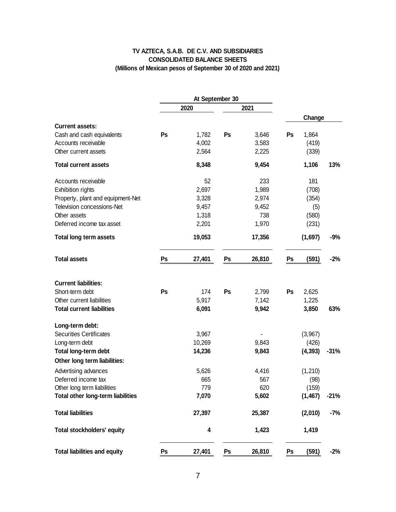## **TV AZTECA, S.A.B. DE C.V. AND SUBSIDIARIES CONSOLIDATED BALANCE SHEETS (Millions of Mexican pesos of September 30 of 2020 and 2021)**

|                                     |    | At September 30 |    |        |    |          |        |
|-------------------------------------|----|-----------------|----|--------|----|----------|--------|
|                                     |    | 2020            |    | 2021   |    |          |        |
| <b>Current assets:</b>              |    |                 |    |        |    | Change   |        |
| Cash and cash equivalents           | Ps | 1,782           | Ps | 3,646  | Ps | 1,864    |        |
| Accounts receivable                 |    | 4,002           |    | 3,583  |    | (419)    |        |
| Other current assets                |    | 2,564           |    | 2,225  |    | (339)    |        |
| <b>Total current assets</b>         |    | 8,348           |    | 9,454  |    | 1,106    | 13%    |
| Accounts receivable                 |    | 52              |    | 233    |    | 181      |        |
| <b>Exhibition rights</b>            |    | 2,697           |    | 1,989  |    | (708)    |        |
| Property, plant and equipment-Net   |    | 3,328           |    | 2,974  |    | (354)    |        |
| Television concessions-Net          |    | 9,457           |    | 9,452  |    | (5)      |        |
| Other assets                        |    | 1,318           |    | 738    |    | (580)    |        |
| Deferred income tax asset           |    | 2,201           |    | 1,970  |    | (231)    |        |
| <b>Total long term assets</b>       |    | 19,053          |    | 17,356 |    | (1,697)  | $-9%$  |
| <b>Total assets</b>                 | Ps | 27,401          | Ps | 26,810 | Ps | (591)    | $-2%$  |
| <b>Current liabilities:</b>         |    |                 |    |        |    |          |        |
| Short-term debt                     | Ps | 174             | Ps | 2,799  | Ps | 2,625    |        |
| Other current liabilities           |    | 5,917           |    | 7,142  |    | 1,225    |        |
| <b>Total current liabilities</b>    |    | 6,091           |    | 9,942  |    | 3,850    | 63%    |
| Long-term debt:                     |    |                 |    |        |    |          |        |
| <b>Securities Certificates</b>      |    | 3,967           |    |        |    | (3,967)  |        |
| Long-term debt                      |    | 10,269          |    | 9,843  |    | (426)    |        |
| Total long-term debt                |    | 14,236          |    | 9,843  |    | (4, 393) | $-31%$ |
| Other long term liabilities:        |    |                 |    |        |    |          |        |
| Advertising advances                |    | 5,626           |    | 4,416  |    | (1,210)  |        |
| Deferred income tax                 |    | 665             |    | 567    |    | (98)     |        |
| Other long term liabilities         |    | 779             |    | 620    |    | (159)    |        |
| Total other long-term liabilities   |    | 7,070           |    | 5,602  |    | (1, 467) | $-21%$ |
| <b>Total liabilities</b>            |    | 27,397          |    | 25,387 |    | (2,010)  | -7%    |
| <b>Total stockholders' equity</b>   |    | 4               |    | 1,423  |    | 1,419    |        |
| <b>Total liabilities and equity</b> | Ps | 27,401          | Ps | 26,810 | Ps | (591)    | $-2%$  |